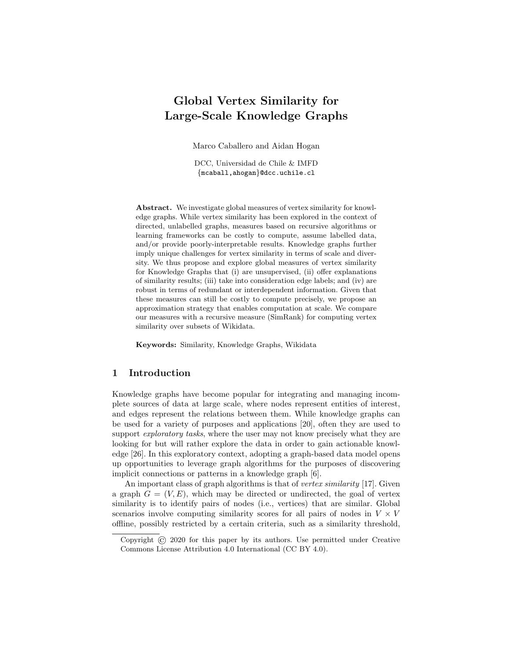# Global Vertex Similarity for Large-Scale Knowledge Graphs

Marco Caballero and Aidan Hogan

DCC, Universidad de Chile & IMFD {mcaball,ahogan}@dcc.uchile.cl

Abstract. We investigate global measures of vertex similarity for knowledge graphs. While vertex similarity has been explored in the context of directed, unlabelled graphs, measures based on recursive algorithms or learning frameworks can be costly to compute, assume labelled data, and/or provide poorly-interpretable results. Knowledge graphs further imply unique challenges for vertex similarity in terms of scale and diversity. We thus propose and explore global measures of vertex similarity for Knowledge Graphs that (i) are unsupervised, (ii) offer explanations of similarity results; (iii) take into consideration edge labels; and (iv) are robust in terms of redundant or interdependent information. Given that these measures can still be costly to compute precisely, we propose an approximation strategy that enables computation at scale. We compare our measures with a recursive measure (SimRank) for computing vertex similarity over subsets of Wikidata.

Keywords: Similarity, Knowledge Graphs, Wikidata

## 1 Introduction

Knowledge graphs have become popular for integrating and managing incomplete sources of data at large scale, where nodes represent entities of interest, and edges represent the relations between them. While knowledge graphs can be used for a variety of purposes and applications [\[20\]](#page-13-0), often they are used to support *exploratory tasks*, where the user may not know precisely what they are looking for but will rather explore the data in order to gain actionable knowledge [\[26\]](#page-13-1). In this exploratory context, adopting a graph-based data model opens up opportunities to leverage graph algorithms for the purposes of discovering implicit connections or patterns in a knowledge graph [\[6\]](#page-12-0).

An important class of graph algorithms is that of *vertex similarity* [\[17\]](#page-12-1). Given a graph  $G = (V, E)$ , which may be directed or undirected, the goal of vertex similarity is to identify pairs of nodes (i.e., vertices) that are similar. Global scenarios involve computing similarity scores for all pairs of nodes in  $V \times V$ offline, possibly restricted by a certain criteria, such as a similarity threshold,

Copyright © 2020 for this paper by its authors. Use permitted under Creative Commons License Attribution 4.0 International (CC BY 4.0).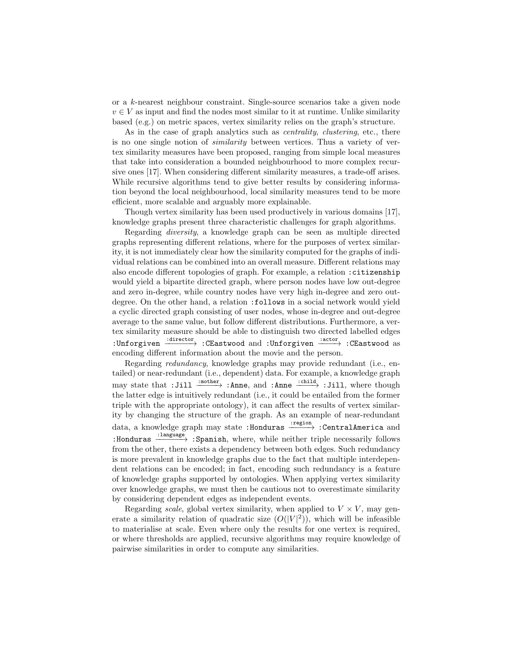or a k-nearest neighbour constraint. Single-source scenarios take a given node  $v \in V$  as input and find the nodes most similar to it at runtime. Unlike similarity based (e.g.) on metric spaces, vertex similarity relies on the graph's structure.

As in the case of graph analytics such as *centrality*, *clustering*, etc., there is no one single notion of similarity between vertices. Thus a variety of vertex similarity measures have been proposed, ranging from simple local measures that take into consideration a bounded neighbourhood to more complex recursive ones [\[17\]](#page-12-1). When considering different similarity measures, a trade-off arises. While recursive algorithms tend to give better results by considering information beyond the local neighbourhood, local similarity measures tend to be more efficient, more scalable and arguably more explainable.

Though vertex similarity has been used productively in various domains [\[17\]](#page-12-1), knowledge graphs present three characteristic challenges for graph algorithms.

Regarding diversity, a knowledge graph can be seen as multiple directed graphs representing different relations, where for the purposes of vertex similarity, it is not immediately clear how the similarity computed for the graphs of individual relations can be combined into an overall measure. Different relations may also encode different topologies of graph. For example, a relation :citizenship would yield a bipartite directed graph, where person nodes have low out-degree and zero in-degree, while country nodes have very high in-degree and zero outdegree. On the other hand, a relation :follows in a social network would yield a cyclic directed graph consisting of user nodes, whose in-degree and out-degree average to the same value, but follow different distributions. Furthermore, a vertex similarity measure should be able to distinguish two directed labelled edges :Unforgiven  $\xrightarrow{\text{interior}}$  :CEastwood and :Unforgiven  $\xrightarrow{\text{actor}}$  :CEastwood as encoding different information about the movie and the person.

Regarding redundancy, knowledge graphs may provide redundant (i.e., entailed) or near-redundant (i.e., dependent) data. For example, a knowledge graph may state that :Jill  $\frac{:=\text{other}}{\cdot}$  :Anne, and :Anne  $\frac{:=\text{child}}{\cdot}$  :Jill, where though the latter edge is intuitively redundant (i.e., it could be entailed from the former triple with the appropriate ontology), it can affect the results of vertex similarity by changing the structure of the graph. As an example of near-redundant data, a knowledge graph may state :Honduras  $\xrightarrow{:\text{region}}: \text{CentralAmerican and}$ :Honduras  $\xrightarrow{\text{:language}}$  :Spanish, where, while neither triple necessarily follows from the other, there exists a dependency between both edges. Such redundancy is more prevalent in knowledge graphs due to the fact that multiple interdependent relations can be encoded; in fact, encoding such redundancy is a feature of knowledge graphs supported by ontologies. When applying vertex similarity over knowledge graphs, we must then be cautious not to overestimate similarity by considering dependent edges as independent events.

Regarding scale, global vertex similarity, when applied to  $V \times V$ , may generate a similarity relation of quadratic size  $(O(|V|^2))$ , which will be infeasible to materialise at scale. Even where only the results for one vertex is required, or where thresholds are applied, recursive algorithms may require knowledge of pairwise similarities in order to compute any similarities.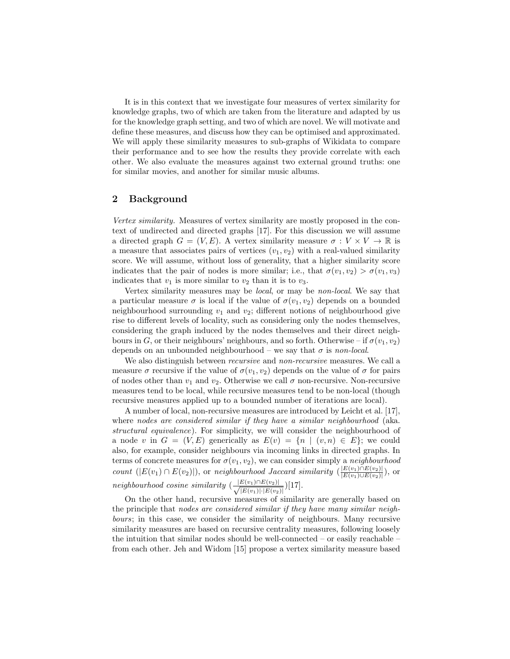It is in this context that we investigate four measures of vertex similarity for knowledge graphs, two of which are taken from the literature and adapted by us for the knowledge graph setting, and two of which are novel. We will motivate and define these measures, and discuss how they can be optimised and approximated. We will apply these similarity measures to sub-graphs of Wikidata to compare their performance and to see how the results they provide correlate with each other. We also evaluate the measures against two external ground truths: one for similar movies, and another for similar music albums.

## 2 Background

Vertex similarity. Measures of vertex similarity are mostly proposed in the context of undirected and directed graphs [\[17\]](#page-12-1). For this discussion we will assume a directed graph  $G = (V, E)$ . A vertex similarity measure  $\sigma : V \times V \to \mathbb{R}$  is a measure that associates pairs of vertices  $(v_1, v_2)$  with a real-valued similarity score. We will assume, without loss of generality, that a higher similarity score indicates that the pair of nodes is more similar; i.e., that  $\sigma(v_1, v_2) > \sigma(v_1, v_3)$ indicates that  $v_1$  is more similar to  $v_2$  than it is to  $v_3$ .

Vertex similarity measures may be local, or may be non-local. We say that a particular measure  $\sigma$  is local if the value of  $\sigma(v_1, v_2)$  depends on a bounded neighbourhood surrounding  $v_1$  and  $v_2$ ; different notions of neighbourhood give rise to different levels of locality, such as considering only the nodes themselves, considering the graph induced by the nodes themselves and their direct neighbours in G, or their neighbours' neighbours, and so forth. Otherwise – if  $\sigma(v_1, v_2)$ depends on an unbounded neighbourhood – we say that  $\sigma$  is non-local.

We also distinguish between recursive and non-recursive measures. We call a measure  $\sigma$  recursive if the value of  $\sigma(v_1, v_2)$  depends on the value of  $\sigma$  for pairs of nodes other than  $v_1$  and  $v_2$ . Otherwise we call  $\sigma$  non-recursive. Non-recursive measures tend to be local, while recursive measures tend to be non-local (though recursive measures applied up to a bounded number of iterations are local).

A number of local, non-recursive measures are introduced by Leicht et al. [\[17\]](#page-12-1), where nodes are considered similar if they have a similar neighbourhood (aka. structural equivalence). For simplicity, we will consider the neighbourhood of a node v in  $G = (V, E)$  generically as  $E(v) = \{n \mid (v, n) \in E\}$ ; we could also, for example, consider neighbours via incoming links in directed graphs. In terms of concrete measures for  $\sigma(v_1, v_2)$ , we can consider simply a *neighbourhood* count  $(|E(v_1) \cap E(v_2)|)$ , or neighbourhood Jaccard similarity  $(\frac{|E(v_1) \cap E(v_2)|}{|E(v_1) \cap E(v_2)|})$  $\frac{|E(v_1)| |E(v_2)|}{|E(v_1) \cup E(v_2)|}),$  or neighbourhood cosine similarity  $\left(\frac{|E(v_1) \cap E(v_2)|}{\sqrt{|E(v_1)|} \cdot |E(v_2)|}\right)$  $\frac{E(v_1)\cap E(v_2)|}{|E(v_1)|\cdot|E(v_2)|}\big)[17].$  $\frac{E(v_1)\cap E(v_2)|}{|E(v_1)|\cdot|E(v_2)|}\big)[17].$  $\frac{E(v_1)\cap E(v_2)|}{|E(v_1)|\cdot|E(v_2)|}\big)[17].$ 

On the other hand, recursive measures of similarity are generally based on the principle that nodes are considered similar if they have many similar neighbours; in this case, we consider the similarity of neighbours. Many recursive similarity measures are based on recursive centrality measures, following loosely the intuition that similar nodes should be well-connected – or easily reachable – from each other. Jeh and Widom [\[15\]](#page-12-2) propose a vertex similarity measure based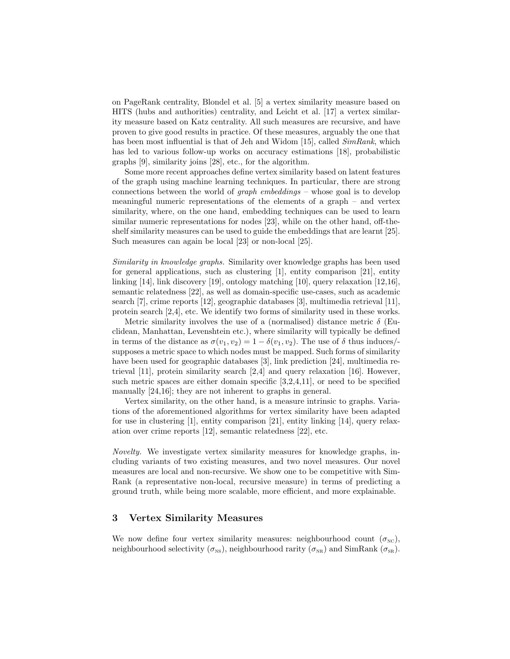on PageRank centrality, Blondel et al. [\[5\]](#page-12-3) a vertex similarity measure based on HITS (hubs and authorities) centrality, and Leicht et al. [\[17\]](#page-12-1) a vertex similarity measure based on Katz centrality. All such measures are recursive, and have proven to give good results in practice. Of these measures, arguably the one that has been most influential is that of Jeh and Widom [\[15\]](#page-12-2), called  $SimRank$ , which has led to various follow-up works on accuracy estimations [\[18\]](#page-12-4), probabilistic graphs [\[9\]](#page-12-5), similarity joins [\[28\]](#page-13-2), etc., for the algorithm.

Some more recent approaches define vertex similarity based on latent features of the graph using machine learning techniques. In particular, there are strong connections between the world of graph embeddings – whose goal is to develop meaningful numeric representations of the elements of a graph – and vertex similarity, where, on the one hand, embedding techniques can be used to learn similar numeric representations for nodes [\[23\]](#page-13-3), while on the other hand, off-theshelf similarity measures can be used to guide the embeddings that are learnt [\[25\]](#page-13-4). Such measures can again be local [\[23\]](#page-13-3) or non-local [\[25\]](#page-13-4).

Similarity in knowledge graphs. Similarity over knowledge graphs has been used for general applications, such as clustering  $[1]$ , entity comparison  $[21]$ , entity linking [\[14\]](#page-12-7), link discovery [\[19\]](#page-13-6), ontology matching [\[10\]](#page-12-8), query relaxation [\[12,](#page-12-9)[16\]](#page-12-10), semantic relatedness [\[22\]](#page-13-7), as well as domain-specific use-cases, such as academic search [\[7\]](#page-12-11), crime reports [\[12\]](#page-12-9), geographic databases [\[3\]](#page-12-12), multimedia retrieval [\[11\]](#page-12-13), protein search [\[2](#page-12-14)[,4\]](#page-12-15), etc. We identify two forms of similarity used in these works.

Metric similarity involves the use of a (normalised) distance metric  $\delta$  (Euclidean, Manhattan, Levenshtein etc.), where similarity will typically be defined in terms of the distance as  $\sigma(v_1, v_2) = 1 - \delta(v_1, v_2)$ . The use of  $\delta$  thus induces/supposes a metric space to which nodes must be mapped. Such forms of similarity have been used for geographic databases [\[3\]](#page-12-12), link prediction [\[24\]](#page-13-8), multimedia retrieval [\[11\]](#page-12-13), protein similarity search [\[2,](#page-12-14)[4\]](#page-12-15) and query relaxation [\[16\]](#page-12-10). However, such metric spaces are either domain specific [\[3,](#page-12-12)[2,](#page-12-14)[4,](#page-12-15)[11\]](#page-12-13), or need to be specified manually  $[24,16]$  $[24,16]$ ; they are not inherent to graphs in general.

Vertex similarity, on the other hand, is a measure intrinsic to graphs. Variations of the aforementioned algorithms for vertex similarity have been adapted for use in clustering [\[1\]](#page-12-6), entity comparison [\[21\]](#page-13-5), entity linking [\[14\]](#page-12-7), query relaxation over crime reports [\[12\]](#page-12-9), semantic relatedness [\[22\]](#page-13-7), etc.

Novelty. We investigate vertex similarity measures for knowledge graphs, including variants of two existing measures, and two novel measures. Our novel measures are local and non-recursive. We show one to be competitive with Sim-Rank (a representative non-local, recursive measure) in terms of predicting a ground truth, while being more scalable, more efficient, and more explainable.

## 3 Vertex Similarity Measures

We now define four vertex similarity measures: neighbourhood count  $(\sigma_{\text{NC}})$ , neighbourhood selectivity  $(\sigma_{NS})$ , neighbourhood rarity  $(\sigma_{NR})$  and SimRank  $(\sigma_{SR})$ .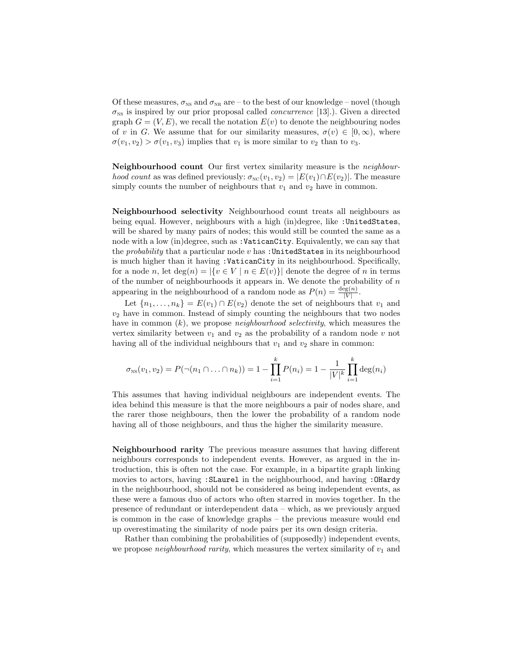Of these measures,  $\sigma_{\text{NS}}$  and  $\sigma_{\text{NR}}$  are – to the best of our knowledge – novel (though  $\sigma_{\text{NS}}$  is inspired by our prior proposal called *concurrence* [\[13\]](#page-12-16).). Given a directed graph  $G = (V, E)$ , we recall the notation  $E(v)$  to denote the neighbouring nodes of v in G. We assume that for our similarity measures,  $\sigma(v) \in [0,\infty)$ , where  $\sigma(v_1, v_2) > \sigma(v_1, v_3)$  implies that  $v_1$  is more similar to  $v_2$  than to  $v_3$ .

Neighbourhood count Our first vertex similarity measure is the neighbour*hood count* as was defined previously:  $\sigma_{\text{NC}}(v_1, v_2) = |E(v_1) \cap E(v_2)|$ . The measure simply counts the number of neighbours that  $v_1$  and  $v_2$  have in common.

Neighbourhood selectivity Neighbourhood count treats all neighbours as being equal. However, neighbours with a high (in)degree, like :UnitedStates, will be shared by many pairs of nodes; this would still be counted the same as a node with a low (in)degree, such as :VaticanCity. Equivalently, we can say that the *probability* that a particular node  $v$  has : UnitedStates in its neighbourhood is much higher than it having :VaticanCity in its neighbourhood. Specifically, for a node n, let  $\deg(n) = |\{v \in V \mid n \in E(v)\}|$  denote the degree of n in terms of the number of neighbourhoods it appears in. We denote the probability of  $n$ appearing in the neighbourhood of a random node as  $P(n) = \frac{\deg(n)}{|V|}$ .

Let  ${n_1, \ldots, n_k}$  =  $E(v_1) \cap E(v_2)$  denote the set of neighbours that  $v_1$  and  $v_2$  have in common. Instead of simply counting the neighbours that two nodes have in common  $(k)$ , we propose *neighbourhood selectivity*, which measures the vertex similarity between  $v_1$  and  $v_2$  as the probability of a random node v not having all of the individual neighbours that  $v_1$  and  $v_2$  share in common:

$$
\sigma_{\text{NS}}(v_1, v_2) = P(\neg(n_1 \cap \dots \cap n_k)) = 1 - \prod_{i=1}^k P(n_i) = 1 - \frac{1}{|V|^k} \prod_{i=1}^k \deg(n_i)
$$

This assumes that having individual neighbours are independent events. The idea behind this measure is that the more neighbours a pair of nodes share, and the rarer those neighbours, then the lower the probability of a random node having all of those neighbours, and thus the higher the similarity measure.

Neighbourhood rarity The previous measure assumes that having different neighbours corresponds to independent events. However, as argued in the introduction, this is often not the case. For example, in a bipartite graph linking movies to actors, having : SLaurel in the neighbourhood, and having : OHardy in the neighbourhood, should not be considered as being independent events, as these were a famous duo of actors who often starred in movies together. In the presence of redundant or interdependent data – which, as we previously argued is common in the case of knowledge graphs – the previous measure would end up overestimating the similarity of node pairs per its own design criteria.

Rather than combining the probabilities of (supposedly) independent events, we propose *neighbourhood rarity*, which measures the vertex similarity of  $v_1$  and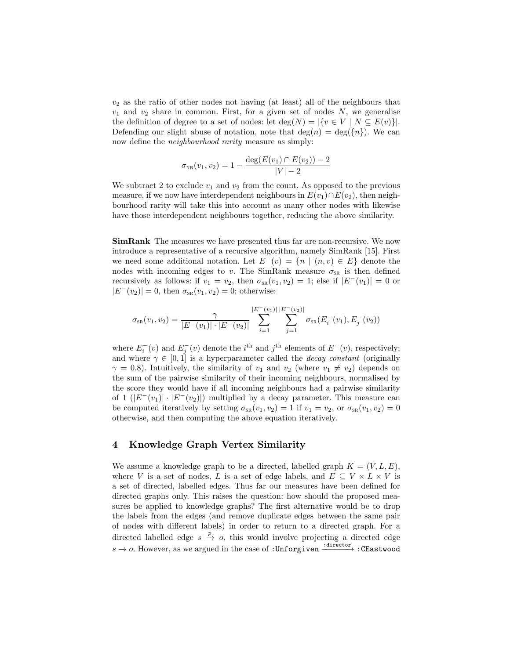$v_2$  as the ratio of other nodes not having (at least) all of the neighbours that  $v_1$  and  $v_2$  share in common. First, for a given set of nodes N, we generalise the definition of degree to a set of nodes: let  $\deg(N) = |\{v \in V \mid N \subseteq E(v)\}|$ . Defending our slight abuse of notation, note that  $\deg(n) = \deg(\{n\})$ . We can now define the neighbourhood rarity measure as simply:

$$
\sigma_{\scriptscriptstyle \rm NR}(v_1,v_2) = 1 - \frac{\deg(E(v_1) \cap E(v_2)) - 2}{|V| - 2}
$$

We subtract 2 to exclude  $v_1$  and  $v_2$  from the count. As opposed to the previous measure, if we now have interdependent neighbours in  $E(v_1) \cap E(v_2)$ , then neighbourhood rarity will take this into account as many other nodes with likewise have those interdependent neighbours together, reducing the above similarity.

SimRank The measures we have presented thus far are non-recursive. We now introduce a representative of a recursive algorithm, namely SimRank [\[15\]](#page-12-2). First we need some additional notation. Let  $E^-(v) = \{n \mid (n, v) \in E\}$  denote the nodes with incoming edges to v. The SimRank measure  $\sigma_{SR}$  is then defined recursively as follows: if  $v_1 = v_2$ , then  $\sigma_{SR}(v_1, v_2) = 1$ ; else if  $|E^-(v_1)| = 0$  or  $|E^-(v_2)| = 0$ , then  $\sigma_{\text{SR}}(v_1, v_2) = 0$ ; otherwise:

$$
\sigma_{SR}(v_1, v_2) = \frac{\gamma}{|E^-(v_1)| \cdot |E^-(v_2)|} \sum_{i=1}^{|E^-(v_1)|} \sum_{j=1}^{|E^-(v_2)|} \sigma_{SR}(E_i^-(v_1), E_j^-(v_2))
$$

where  $E_i^-(v)$  and  $E_j^-(v)$  denote the *i*<sup>th</sup> and *j*<sup>th</sup> elements of  $E^-(v)$ , respectively; and where  $\gamma \in [0,1]$  is a hyperparameter called the *decay constant* (originally  $\gamma = 0.8$ ). Intuitively, the similarity of  $v_1$  and  $v_2$  (where  $v_1 \neq v_2$ ) depends on the sum of the pairwise similarity of their incoming neighbours, normalised by the score they would have if all incoming neighbours had a pairwise similarity of 1  $(|E^-(v_1)| \cdot |E^-(v_2)|)$  multiplied by a decay parameter. This measure can be computed iteratively by setting  $\sigma_{SR}(v_1, v_2) = 1$  if  $v_1 = v_2$ , or  $\sigma_{SR}(v_1, v_2) = 0$ otherwise, and then computing the above equation iteratively.

## 4 Knowledge Graph Vertex Similarity

We assume a knowledge graph to be a directed, labelled graph  $K = (V, L, E)$ , where V is a set of nodes, L is a set of edge labels, and  $E \subseteq V \times L \times V$  is a set of directed, labelled edges. Thus far our measures have been defined for directed graphs only. This raises the question: how should the proposed measures be applied to knowledge graphs? The first alternative would be to drop the labels from the edges (and remove duplicate edges between the same pair of nodes with different labels) in order to return to a directed graph. For a directed labelled edge  $s \stackrel{p}{\rightarrow} o$ , this would involve projecting a directed edge  $s \to o$ . However, as we argued in the case of :Unforgiven  $\xrightarrow{\text{intercept}}$ :CEastwood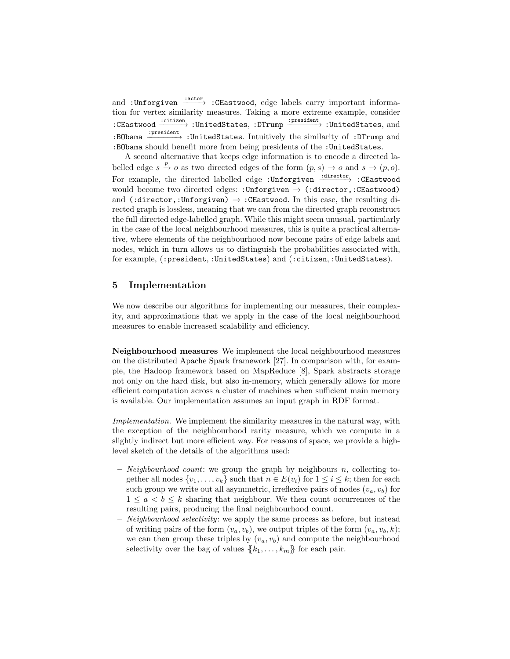and :Unforgiven  $\frac{cdot}{\cdot}$ :CEastwood, edge labels carry important information for vertex similarity measures. Taking a more extreme example, consider :CEastwood  $\xrightarrow{\text{:citizen}}$  :UnitedStates, :DTrump  $\xrightarrow{\text{:president}}$  :UnitedStates, and :BObama  $\xrightarrow{\cdot\textrm{present}}$  :UnitedStates. Intuitively the similarity of :DTrump and :BObama should benefit more from being presidents of the :UnitedStates.

A second alternative that keeps edge information is to encode a directed labelled edge  $s \stackrel{p}{\to} o$  as two directed edges of the form  $(p, s) \to o$  and  $s \to (p, o)$ . For example, the directed labelled edge :Unforgiven  $\frac{\text{interitor}}{\text{+}}$  :CEastwood would become two directed edges: :Unforgiven −→ (:director,:CEastwood) and (:director,:Unforgiven)  $\rightarrow$  :CEastwood. In this case, the resulting directed graph is lossless, meaning that we can from the directed graph reconstruct the full directed edge-labelled graph. While this might seem unusual, particularly in the case of the local neighbourhood measures, this is quite a practical alternative, where elements of the neighbourhood now become pairs of edge labels and nodes, which in turn allows us to distinguish the probabilities associated with, for example, (:president, :UnitedStates) and (:citizen, :UnitedStates).

## 5 Implementation

We now describe our algorithms for implementing our measures, their complexity, and approximations that we apply in the case of the local neighbourhood measures to enable increased scalability and efficiency.

Neighbourhood measures We implement the local neighbourhood measures on the distributed Apache Spark framework [\[27\]](#page-13-9). In comparison with, for example, the Hadoop framework based on MapReduce [\[8\]](#page-12-17), Spark abstracts storage not only on the hard disk, but also in-memory, which generally allows for more efficient computation across a cluster of machines when sufficient main memory is available. Our implementation assumes an input graph in RDF format.

Implementation. We implement the similarity measures in the natural way, with the exception of the neighbourhood rarity measure, which we compute in a slightly indirect but more efficient way. For reasons of space, we provide a highlevel sketch of the details of the algorithms used:

- $-$  *Neighbourhood count*: we group the graph by neighbours n, collecting together all nodes  $\{v_1, \ldots, v_k\}$  such that  $n \in E(v_i)$  for  $1 \leq i \leq k$ ; then for each such group we write out all asymmetric, irreflexive pairs of nodes  $(v_a, v_b)$  for  $1 \leq a < b \leq k$  sharing that neighbour. We then count occurrences of the resulting pairs, producing the final neighbourhood count.
- Neighbourhood selectivity: we apply the same process as before, but instead of writing pairs of the form  $(v_a, v_b)$ , we output triples of the form  $(v_a, v_b, k)$ ; we can then group these triples by  $(v_a, v_b)$  and compute the neighbourhood selectivity over the bag of values  $\{k_1, \ldots, k_m\}$  for each pair.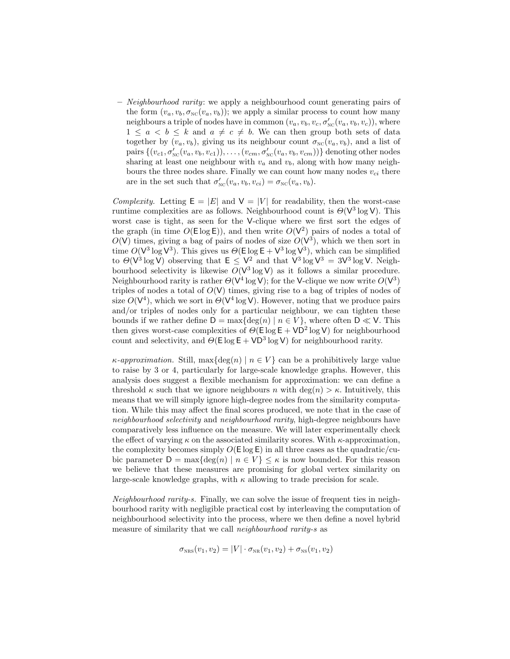– Neighbourhood rarity: we apply a neighbourhood count generating pairs of the form  $(v_a, v_b, \sigma_{\text{NC}}(v_a, v_b))$ ; we apply a similar process to count how many neighbours a triple of nodes have in common  $(v_a, v_b, v_c, \sigma'_{\text{NC}}(v_a, v_b, v_c))$ , where  $1 \le a < b \le k$  and  $a \ne c \ne b$ . We can then group both sets of data together by  $(v_a, v_b)$ , giving us its neighbour count  $\sigma_{\text{NC}}(v_a, v_b)$ , and a list of pairs  $\{(v_{c1}, \sigma'_{\text{NC}}(v_a, v_b, v_{c1})), \ldots, (v_{cm}, \sigma'_{\text{NC}}(v_a, v_b, v_{cm}))\}$  denoting other nodes sharing at least one neighbour with  $v_a$  and  $v_b$ , along with how many neighbours the three nodes share. Finally we can count how many nodes  $v_{ci}$  there are in the set such that  $\sigma'_{\text{NC}}(v_a, v_b, v_{ci}) = \sigma_{\text{NC}}(v_a, v_b)$ .

Complexity. Letting  $E = |E|$  and  $V = |V|$  for readability, then the worst-case runtime complexities are as follows. Neighbourhood count is  $\Theta(\mathsf{V}^3 \log \mathsf{V})$ . This worst case is tight, as seen for the V-clique where we first sort the edges of the graph (in time  $O(E \log E)$ ), and then write  $O(V^2)$  pairs of nodes a total of  $O(V)$  times, giving a bag of pairs of nodes of size  $O(V^3)$ , which we then sort in time  $O(V^3 \log V^3)$ . This gives us  $\Theta(\text{E} \log \text{E} + V^3 \log V^3)$ , which can be simplified to  $\Theta(\mathrm{V}^3 \log \mathrm{V})$  observing that  $\mathsf{E} \leq \mathrm{V}^2$  and that  $\mathrm{V}^3 \log \mathrm{V}^3 = 3\mathrm{V}^3 \log \mathrm{V}$ . Neighbourhood selectivity is likewise  $O(V^3 \log V)$  as it follows a similar procedure. Neighbourhood rarity is rather  $\Theta(\sf{V}^4\log V)$ ; for the V-clique we now write  $O(\sf{V}^3)$ triples of nodes a total of  $O(V)$  times, giving rise to a bag of triples of nodes of size  $O(V^4)$ , which we sort in  $O(V^4 \log V)$ . However, noting that we produce pairs and/or triples of nodes only for a particular neighbour, we can tighten these bounds if we rather define  $D = \max\{\deg(n) \mid n \in V\}$ , where often  $D \ll V$ . This then gives worst-case complexities of  $\Theta(\text{E} \log \text{E} + \text{VD}^2 \log \text{V})$  for neighbourhood count and selectivity, and  $\Theta(\mathsf{E} \log \mathsf{E} + \mathsf{V} \mathsf{D}^3 \log \mathsf{V})$  for neighbourhood rarity.

 $\kappa$ -approximation. Still, max $\{\deg(n) \mid n \in V\}$  can be a prohibitively large value to raise by 3 or 4, particularly for large-scale knowledge graphs. However, this analysis does suggest a flexible mechanism for approximation: we can define a threshold  $\kappa$  such that we ignore neighbours n with deg(n)  $>\kappa$ . Intuitively, this means that we will simply ignore high-degree nodes from the similarity computation. While this may affect the final scores produced, we note that in the case of neighbourhood selectivity and neighbourhood rarity, high-degree neighbours have comparatively less influence on the measure. We will later experimentally check the effect of varying  $\kappa$  on the associated similarity scores. With  $\kappa$ -approximation, the complexity becomes simply  $O(E \log E)$  in all three cases as the quadratic/cubic parameter  $D = \max\{\deg(n) \mid n \in V\} \leq \kappa$  is now bounded. For this reason we believe that these measures are promising for global vertex similarity on large-scale knowledge graphs, with  $\kappa$  allowing to trade precision for scale.

Neighbourhood rarity-s. Finally, we can solve the issue of frequent ties in neighbourhood rarity with negligible practical cost by interleaving the computation of neighbourhood selectivity into the process, where we then define a novel hybrid measure of similarity that we call neighbourhood rarity-s as

$$
\sigma_{\text{NRS}}(v_1, v_2) = |V| \cdot \sigma_{\text{NR}}(v_1, v_2) + \sigma_{\text{NS}}(v_1, v_2)
$$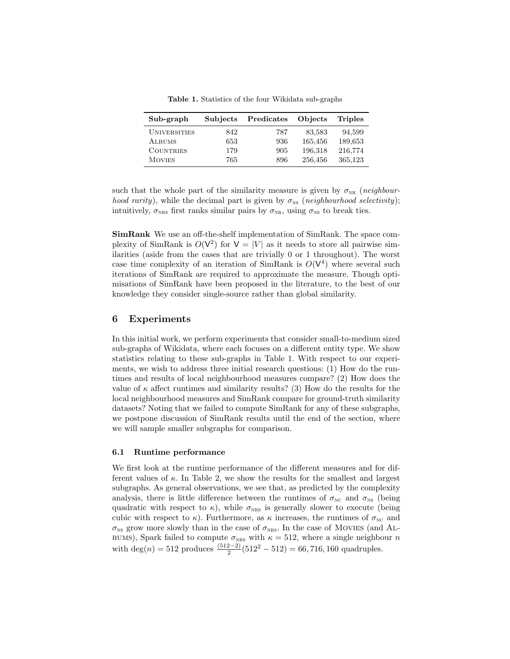<span id="page-8-0"></span>Table 1. Statistics of the four Wikidata sub-graphs

| Sub-graph           | <b>Subjects</b> | Predicates | Objects | <b>Triples</b> |
|---------------------|-----------------|------------|---------|----------------|
| <b>UNIVERSITIES</b> | 842             | 787        | 83,583  | 94,599         |
| ALBUMS              | 653             | 936        | 165,456 | 189,653        |
| <b>COUNTRIES</b>    | 179             | 905        | 196,318 | 216,774        |
| <b>MOVIES</b>       | 765             | 896        | 256.456 | 365,123        |

such that the whole part of the similarity measure is given by  $\sigma_{NR}$  (neighbour*hood rarity*), while the decimal part is given by  $\sigma_{\text{NS}}$  (*neighbourhood selectivity*); intuitively,  $\sigma_{NRS}$  first ranks similar pairs by  $\sigma_{NR}$ , using  $\sigma_{NS}$  to break ties.

SimRank We use an off-the-shelf implementation of SimRank. The space complexity of SimRank is  $O(V^2)$  for  $V = |V|$  as it needs to store all pairwise similarities (aside from the cases that are trivially 0 or 1 throughout). The worst case time complexity of an iteration of SimRank is  $O(V^4)$  where several such iterations of SimRank are required to approximate the measure. Though optimisations of SimRank have been proposed in the literature, to the best of our knowledge they consider single-source rather than global similarity.

## 6 Experiments

In this initial work, we perform experiments that consider small-to-medium sized sub-graphs of Wikidata, where each focuses on a different entity type. We show statistics relating to these sub-graphs in Table [1.](#page-8-0) With respect to our experiments, we wish to address three initial research questions: (1) How do the runtimes and results of local neighbourhood measures compare? (2) How does the value of  $\kappa$  affect runtimes and similarity results? (3) How do the results for the local neighbourhood measures and SimRank compare for ground-truth similarity datasets? Noting that we failed to compute SimRank for any of these subgraphs, we postpone discussion of SimRank results until the end of the section, where we will sample smaller subgraphs for comparison.

#### 6.1 Runtime performance

We first look at the runtime performance of the different measures and for different values of  $\kappa$ . In Table [2,](#page-9-0) we show the results for the smallest and largest subgraphs. As general observations, we see that, as predicted by the complexity analysis, there is little difference between the runtimes of  $\sigma_{\text{NC}}$  and  $\sigma_{\text{NS}}$  (being quadratic with respect to  $\kappa$ ), while  $\sigma_{NRS}$  is generally slower to execute (being cubic with respect to  $\kappa$ ). Furthermore, as  $\kappa$  increases, the runtimes of  $\sigma_{\text{NC}}$  and  $\sigma_{\text{NS}}$  grow more slowly than in the case of  $\sigma_{\text{NRS}}$ . In the case of MOVIES (and AL-BUMS), Spark failed to compute  $\sigma_{NRS}$  with  $\kappa = 512$ , where a single neighbour n with  $\deg(n) = 512$  produces  $\frac{(512-2)}{2}(512^2 - 512) = 66,716,160$  quadruples.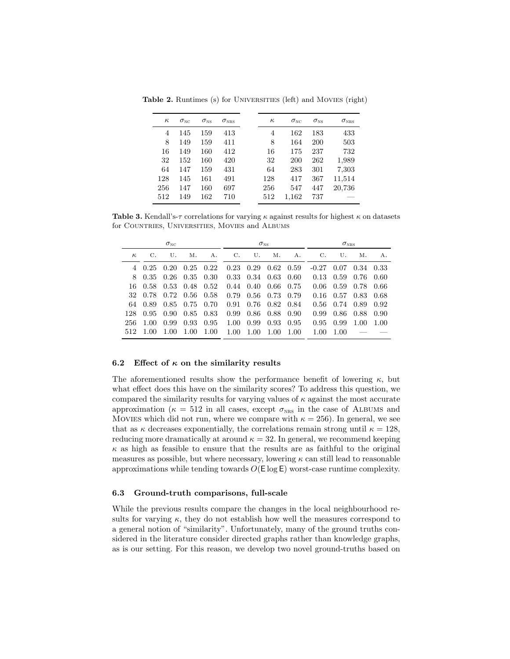<span id="page-9-0"></span>

| $\kappa$ | $\sigma_{\scriptscriptstyle\rm NC}$ | $\sigma_{\scriptscriptstyle\rm NS}$ | $\sigma_{\scriptscriptstyle \rm NRS}$ | $\kappa$ | $\sigma_{\scriptscriptstyle\rm NC}$ | $\sigma_{\rm NS}$ | $\sigma_{\scriptscriptstyle \rm NRS}$ |
|----------|-------------------------------------|-------------------------------------|---------------------------------------|----------|-------------------------------------|-------------------|---------------------------------------|
| 4        | 145                                 | 159                                 | 413                                   | 4        | 162                                 | 183               | 433                                   |
| 8        | 149                                 | 159                                 | 411                                   | 8        | 164                                 | <b>200</b>        | 503                                   |
| 16       | 149                                 | 160                                 | 412                                   | 16       | 175                                 | 237               | 732                                   |
| 32       | 152                                 | 160                                 | 420                                   | 32       | 200                                 | 262               | 1,989                                 |
| 64       | 147                                 | 159                                 | 431                                   | 64       | 283                                 | 301               | 7,303                                 |
| 128      | 145                                 | 161                                 | 491                                   | 128      | 417                                 | 367               | 11,514                                |
| 256      | 147                                 | 160                                 | 697                                   | 256      | 547                                 | 447               | 20,736                                |
| 512      | 149                                 | 162                                 | 710                                   | 512      | 1,162                               | 737               |                                       |

Table 2. Runtimes (s) for UNIVERSITIES (left) and MOVIES (right)

**Table 3.** Kendall's- $\tau$  correlations for varying  $\kappa$  against results for highest  $\kappa$  on datasets for Countries, Universities, Movies and Albums

| $\sigma_{\scriptscriptstyle\rm NC}$ |      |      | $\sigma_{\rm NS}$ |      |      | $\sigma_{\rm NRS}$ |      |      |         |      |      |      |
|-------------------------------------|------|------|-------------------|------|------|--------------------|------|------|---------|------|------|------|
| $\kappa$                            | С.   | U.   | Μ.                | А.   | С.   | U.                 | Μ.   | А.   | С.      | U.   | Μ.   | А.   |
|                                     | 0.25 | 0.20 | 0.25              | 0.22 | 0.23 | 0.29               | 0.62 | 0.59 | $-0.27$ | 0.07 | 0.34 | 0.33 |
| 8                                   | 0.35 | 0.26 | 0.35              | 0.30 | 0.33 | 0.34               | 0.63 | 0.60 | 0.13    | 0.59 | 0.76 | 0.60 |
| 16                                  | 0.58 | 0.53 | 0.48              | 0.52 | 0.44 | 0.40               | 0.66 | 0.75 | 0.06    | 0.59 | 0.78 | 0.66 |
| 32                                  | 0.78 | 0.72 | 0.56              | 0.58 | 0.79 | 0.56               | 0.73 | 0.79 | 0.16    | 0.57 | 0.83 | 0.68 |
| 64                                  | 0.89 | 0.85 | 0.75              | 0.70 | 0.91 | 0.76               | 0.82 | 0.84 | 0.56    | 0.74 | 0.89 | 0.92 |
| 128                                 | 0.95 | 0.90 | 0.85              | 0.83 | 0.99 | 0.86               | 0.88 | 0.90 | 0.99    | 0.86 | 0.88 | 0.90 |
| 256                                 | 1.00 | 0.99 | 0.93              | 0.95 | 1.00 | 0.99               | 0.93 | 0.95 | 0.95    | 0.99 | 1.00 | 1.00 |
| 512                                 | 1.00 | 1.00 | 1.00              | 1.00 | 1.00 | 1.00               | 1.00 | 1.00 | 1.00    | 1.00 |      |      |

#### 6.2 Effect of  $\kappa$  on the similarity results

The aforementioned results show the performance benefit of lowering  $\kappa$ , but what effect does this have on the similarity scores? To address this question, we compared the similarity results for varying values of  $\kappa$  against the most accurate approximation ( $\kappa = 512$  in all cases, except  $\sigma_{NRS}$  in the case of ALBUMS and Movies which did not run, where we compare with  $\kappa = 256$ ). In general, we see that as  $\kappa$  decreases exponentially, the correlations remain strong until  $\kappa = 128$ , reducing more dramatically at around  $\kappa = 32$ . In general, we recommend keeping  $\kappa$  as high as feasible to ensure that the results are as faithful to the original measures as possible, but where necessary, lowering  $\kappa$  can still lead to reasonable approximations while tending towards  $O(E \log E)$  worst-case runtime complexity.

#### 6.3 Ground-truth comparisons, full-scale

While the previous results compare the changes in the local neighbourhood results for varying  $\kappa$ , they do not establish how well the measures correspond to a general notion of "similarity". Unfortunately, many of the ground truths considered in the literature consider directed graphs rather than knowledge graphs, as is our setting. For this reason, we develop two novel ground-truths based on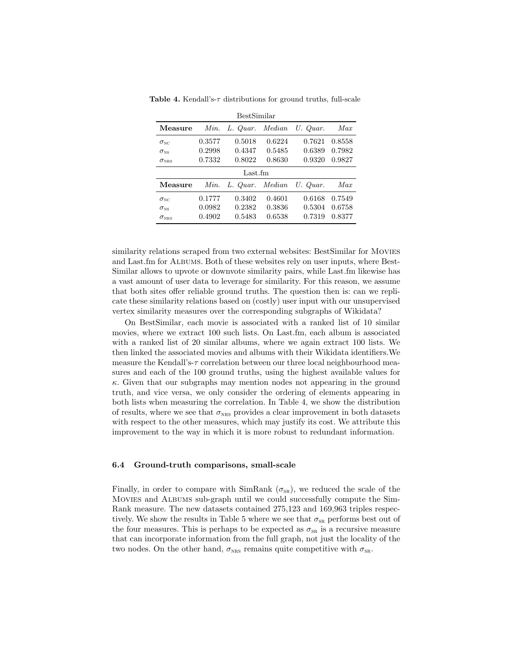|                                       |        | BestSimilar     |        |          |        |
|---------------------------------------|--------|-----------------|--------|----------|--------|
| Measure                               | Min.   | L. Quar.        | Median | U. Quar. | Max    |
| $\sigma_{\scriptscriptstyle\rm NC}$   | 0.3577 | 0.5018          | 0.6224 | 0.7621   | 0.8558 |
| $\sigma_{\scriptscriptstyle\rm NS}$   | 0.2998 | 0.4347          | 0.5485 | 0.6389   | 0.7982 |
| $\sigma_{\scriptscriptstyle \rm NRS}$ | 0.7332 | 0.8022          | 0.8630 | 0.9320   | 0.9827 |
|                                       |        |                 |        |          |        |
|                                       |        | Last.fm         |        |          |        |
| Measure                               | Min.   | L. Quar. Median |        | U. Quar. | Max    |
| $\sigma_{\textsc{nc}}$                | 0.1777 | 0.3402          | 0.4601 | 0.6168   | 0.7549 |
| $\sigma_{\rm NS}$                     | 0.0982 | 0.2382          | 0.3836 | 0.5304   | 0.6758 |

<span id="page-10-0"></span>Table 4. Kendall's- $\tau$  distributions for ground truths, full-scale

similarity relations scraped from two external websites: BestSimilar for MOVIES and Last.fm for Albums. Both of these websites rely on user inputs, where Best-Similar allows to upvote or downvote similarity pairs, while Last.fm likewise has a vast amount of user data to leverage for similarity. For this reason, we assume that both sites offer reliable ground truths. The question then is: can we replicate these similarity relations based on (costly) user input with our unsupervised vertex similarity measures over the corresponding subgraphs of Wikidata?

On BestSimilar, each movie is associated with a ranked list of 10 similar movies, where we extract 100 such lists. On Last.fm, each album is associated with a ranked list of 20 similar albums, where we again extract 100 lists. We then linked the associated movies and albums with their Wikidata identifiers.We measure the Kendall's- $\tau$  correlation between our three local neighbourhood measures and each of the 100 ground truths, using the highest available values for  $\kappa$ . Given that our subgraphs may mention nodes not appearing in the ground truth, and vice versa, we only consider the ordering of elements appearing in both lists when measuring the correlation. In Table [4,](#page-10-0) we show the distribution of results, where we see that  $\sigma_{NRS}$  provides a clear improvement in both datasets with respect to the other measures, which may justify its cost. We attribute this improvement to the way in which it is more robust to redundant information.

#### 6.4 Ground-truth comparisons, small-scale

Finally, in order to compare with SimRank  $(\sigma_{SR})$ , we reduced the scale of the Movies and Albums sub-graph until we could successfully compute the Sim-Rank measure. The new datasets contained 275,123 and 169,963 triples respec-tively. We show the results in Table [5](#page-11-0) where we see that  $\sigma_{\text{SR}}$  performs best out of the four measures. This is perhaps to be expected as  $\sigma_{SR}$  is a recursive measure that can incorporate information from the full graph, not just the locality of the two nodes. On the other hand,  $\sigma_{NRS}$  remains quite competitive with  $\sigma_{SR}$ .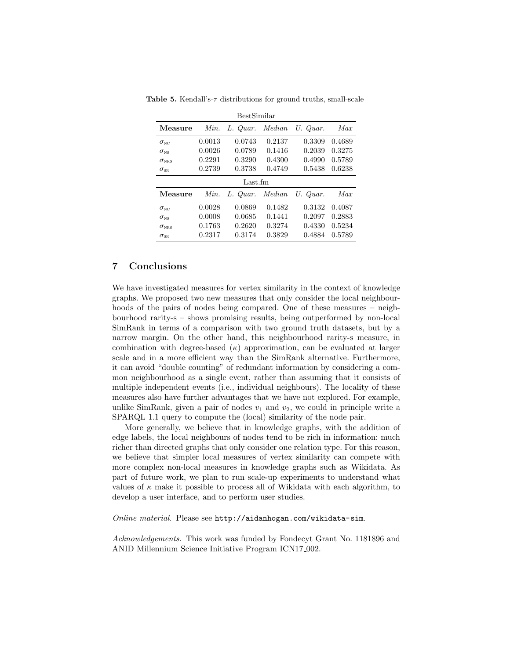<span id="page-11-0"></span>

|                                       |        | BestSimilar |        |          |        |
|---------------------------------------|--------|-------------|--------|----------|--------|
| Measure                               | Min.   | L. Quar.    | Median | U. Quar. | Max    |
| $\sigma_{\scriptscriptstyle\rm NC}$   | 0.0013 | 0.0743      | 0.2137 | 0.3309   | 0.4689 |
| $\sigma_{\scriptscriptstyle\rm NS}$   | 0.0026 | 0.0789      | 0.1416 | 0.2039   | 0.3275 |
| $\sigma_{\scriptscriptstyle \rm NRS}$ | 0.2291 | 0.3290      | 0.4300 | 0.4990   | 0.5789 |
| $\sigma_{\scriptscriptstyle\rm SR}$   | 0.2739 | 0.3738      | 0.4749 | 0.5438   | 0.6238 |
|                                       |        | Last.fm     |        |          |        |
|                                       |        |             |        |          |        |
| Measure                               | Min.   | L. Quar.    | Median | U. Quar. | Max    |
| $\sigma_{\textsc{nc}}$                | 0.0028 | 0.0869      | 0.1482 | 0.3132   | 0.4087 |
| $\sigma_{\scriptscriptstyle\rm NS}$   | 0.0008 | 0.0685      | 0.1441 | 0.2097   | 0.2883 |
| $\sigma_{\scriptscriptstyle \rm NRS}$ | 0.1763 | 0.2620      | 0.3274 | 0.4330   | 0.5234 |

Table 5. Kendall's- $\tau$  distributions for ground truths, small-scale

## 7 Conclusions

We have investigated measures for vertex similarity in the context of knowledge graphs. We proposed two new measures that only consider the local neighbourhoods of the pairs of nodes being compared. One of these measures – neighbourhood rarity-s – shows promising results, being outperformed by non-local SimRank in terms of a comparison with two ground truth datasets, but by a narrow margin. On the other hand, this neighbourhood rarity-s measure, in combination with degree-based  $(\kappa)$  approximation, can be evaluated at larger scale and in a more efficient way than the SimRank alternative. Furthermore, it can avoid "double counting" of redundant information by considering a common neighbourhood as a single event, rather than assuming that it consists of multiple independent events (i.e., individual neighbours). The locality of these measures also have further advantages that we have not explored. For example, unlike SimRank, given a pair of nodes  $v_1$  and  $v_2$ , we could in principle write a SPARQL 1.1 query to compute the (local) similarity of the node pair.

More generally, we believe that in knowledge graphs, with the addition of edge labels, the local neighbours of nodes tend to be rich in information: much richer than directed graphs that only consider one relation type. For this reason, we believe that simpler local measures of vertex similarity can compete with more complex non-local measures in knowledge graphs such as Wikidata. As part of future work, we plan to run scale-up experiments to understand what values of  $\kappa$  make it possible to process all of Wikidata with each algorithm, to develop a user interface, and to perform user studies.

Online material. Please see <http://aidanhogan.com/wikidata-sim>.

Acknowledgements. This work was funded by Fondecyt Grant No. 1181896 and ANID Millennium Science Initiative Program ICN17<sub>-002</sub>.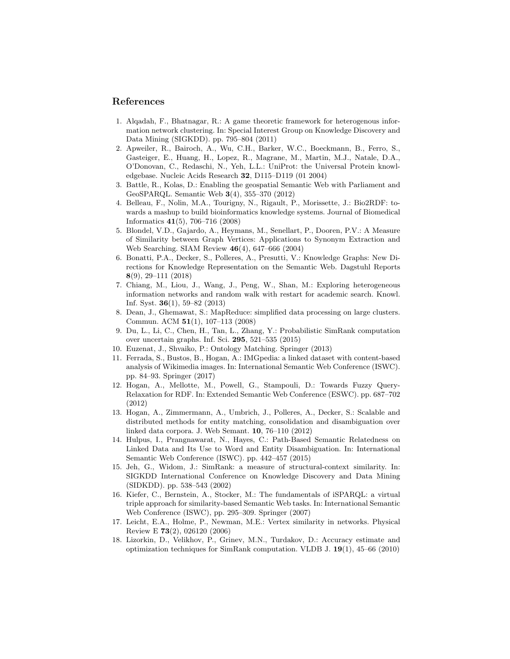## References

- <span id="page-12-6"></span>1. Alqadah, F., Bhatnagar, R.: A game theoretic framework for heterogenous information network clustering. In: Special Interest Group on Knowledge Discovery and Data Mining (SIGKDD). pp. 795–804 (2011)
- <span id="page-12-14"></span>2. Apweiler, R., Bairoch, A., Wu, C.H., Barker, W.C., Boeckmann, B., Ferro, S., Gasteiger, E., Huang, H., Lopez, R., Magrane, M., Martin, M.J., Natale, D.A., O'Donovan, C., Redaschi, N., Yeh, L.L.: UniProt: the Universal Protein knowledgebase. Nucleic Acids Research 32, D115–D119 (01 2004)
- <span id="page-12-12"></span>3. Battle, R., Kolas, D.: Enabling the geospatial Semantic Web with Parliament and GeoSPARQL. Semantic Web 3(4), 355–370 (2012)
- <span id="page-12-15"></span>4. Belleau, F., Nolin, M.A., Tourigny, N., Rigault, P., Morissette, J.: Bio2RDF: towards a mashup to build bioinformatics knowledge systems. Journal of Biomedical Informatics 41(5), 706–716 (2008)
- <span id="page-12-3"></span>5. Blondel, V.D., Gajardo, A., Heymans, M., Senellart, P., Dooren, P.V.: A Measure of Similarity between Graph Vertices: Applications to Synonym Extraction and Web Searching. SIAM Review 46(4), 647–666 (2004)
- <span id="page-12-0"></span>6. Bonatti, P.A., Decker, S., Polleres, A., Presutti, V.: Knowledge Graphs: New Directions for Knowledge Representation on the Semantic Web. Dagstuhl Reports 8(9), 29–111 (2018)
- <span id="page-12-11"></span>7. Chiang, M., Liou, J., Wang, J., Peng, W., Shan, M.: Exploring heterogeneous information networks and random walk with restart for academic search. Knowl. Inf. Syst. 36(1), 59–82 (2013)
- <span id="page-12-17"></span>8. Dean, J., Ghemawat, S.: MapReduce: simplified data processing on large clusters. Commun. ACM 51(1), 107–113 (2008)
- <span id="page-12-5"></span>9. Du, L., Li, C., Chen, H., Tan, L., Zhang, Y.: Probabilistic SimRank computation over uncertain graphs. Inf. Sci. 295, 521–535 (2015)
- <span id="page-12-8"></span>10. Euzenat, J., Shvaiko, P.: Ontology Matching. Springer (2013)
- <span id="page-12-13"></span>11. Ferrada, S., Bustos, B., Hogan, A.: IMGpedia: a linked dataset with content-based analysis of Wikimedia images. In: International Semantic Web Conference (ISWC). pp. 84–93. Springer (2017)
- <span id="page-12-9"></span>12. Hogan, A., Mellotte, M., Powell, G., Stampouli, D.: Towards Fuzzy Query-Relaxation for RDF. In: Extended Semantic Web Conference (ESWC). pp. 687–702 (2012)
- <span id="page-12-16"></span>13. Hogan, A., Zimmermann, A., Umbrich, J., Polleres, A., Decker, S.: Scalable and distributed methods for entity matching, consolidation and disambiguation over linked data corpora. J. Web Semant. 10, 76–110 (2012)
- <span id="page-12-7"></span>14. Hulpus, I., Prangnawarat, N., Hayes, C.: Path-Based Semantic Relatedness on Linked Data and Its Use to Word and Entity Disambiguation. In: International Semantic Web Conference (ISWC). pp. 442–457 (2015)
- <span id="page-12-2"></span>15. Jeh, G., Widom, J.: SimRank: a measure of structural-context similarity. In: SIGKDD International Conference on Knowledge Discovery and Data Mining (SIDKDD). pp. 538–543 (2002)
- <span id="page-12-10"></span>16. Kiefer, C., Bernstein, A., Stocker, M.: The fundamentals of iSPARQL: a virtual triple approach for similarity-based Semantic Web tasks. In: International Semantic Web Conference (ISWC), pp. 295–309. Springer (2007)
- <span id="page-12-1"></span>17. Leicht, E.A., Holme, P., Newman, M.E.: Vertex similarity in networks. Physical Review E 73(2), 026120 (2006)
- <span id="page-12-4"></span>18. Lizorkin, D., Velikhov, P., Grinev, M.N., Turdakov, D.: Accuracy estimate and optimization techniques for SimRank computation. VLDB J.  $19(1)$ ,  $45-66$  (2010)